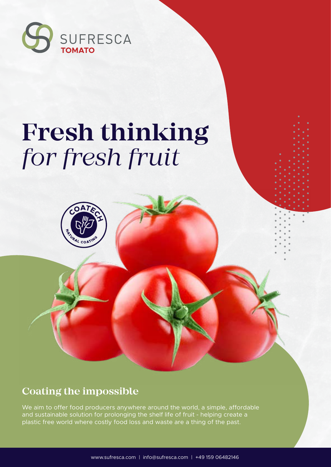

# **Fresh thinking** *for fresh fruit*

# **Coating the impossible**

We aim to offer food producers anywhere around the world, a simple, affordable and sustainable solution for prolonging the shelf life of fruit - helping create a plastic free world where costly food loss and waste are a thing of the past.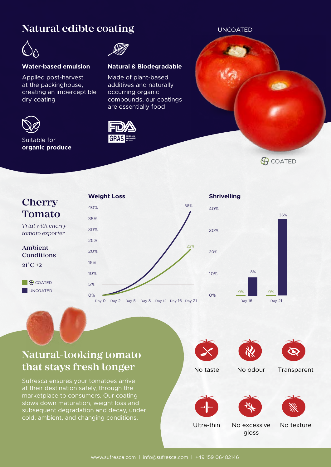## **Natural edible coating**



#### **Water-based emulsion Natural & Biodegradable**

Applied post-harvest at the packinghouse, creating an imperceptible dry coating



#### Suitable for **organic produce**



Made of plant-based additives and naturally occurring organic compounds, our coatings are essentially food



# **Cherry Tomato**

*Trial with cherry tomato exporter*

Ambient Conditions  $21^\circ$ C +2

**UNCOATED G** COATED

#### **Weight Loss**



#### **Shrivelling**



**G**COATED

# **Natural-looking tomato that stays fresh longer**

Sufresca ensures your tomatoes arrive at their destination safely, through the marketplace to consumers. Our coating slows down maturation, weight loss and subsequent degradation and decay, under cold, ambient, and changing conditions.







No taste No odour Transparent









Ultra-thin

No excessive gloss

No texture

UNCOATED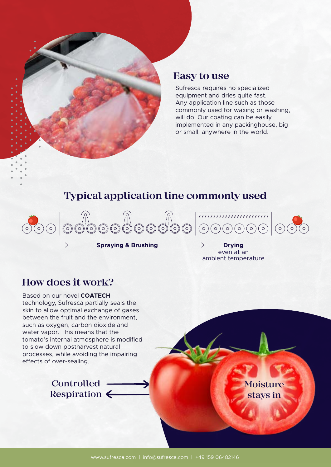

#### **Easy to use**

Sufresca requires no specialized equipment and dries quite fast. Any application line such as those commonly used for waxing or washing, will do. Our coating can be easily implemented in any packinghouse, big or small, anywhere in the world.

# **Typical application line commonly used**



**Spraying & Brushing Drying** 

even at an ambient temperature

### **How does it work?**

Based on our novel **COATECH**  technology, Sufresca partially seals the skin to allow optimal exchange of gases between the fruit and the environment, such as oxygen, carbon dioxide and water vapor. This means that the tomato's internal atmosphere is modified to slow down postharvest natural processes, while avoiding the impairing effects of over-sealing.

> Controlled -Respiration  $\leftarrow$

Moisture stays in